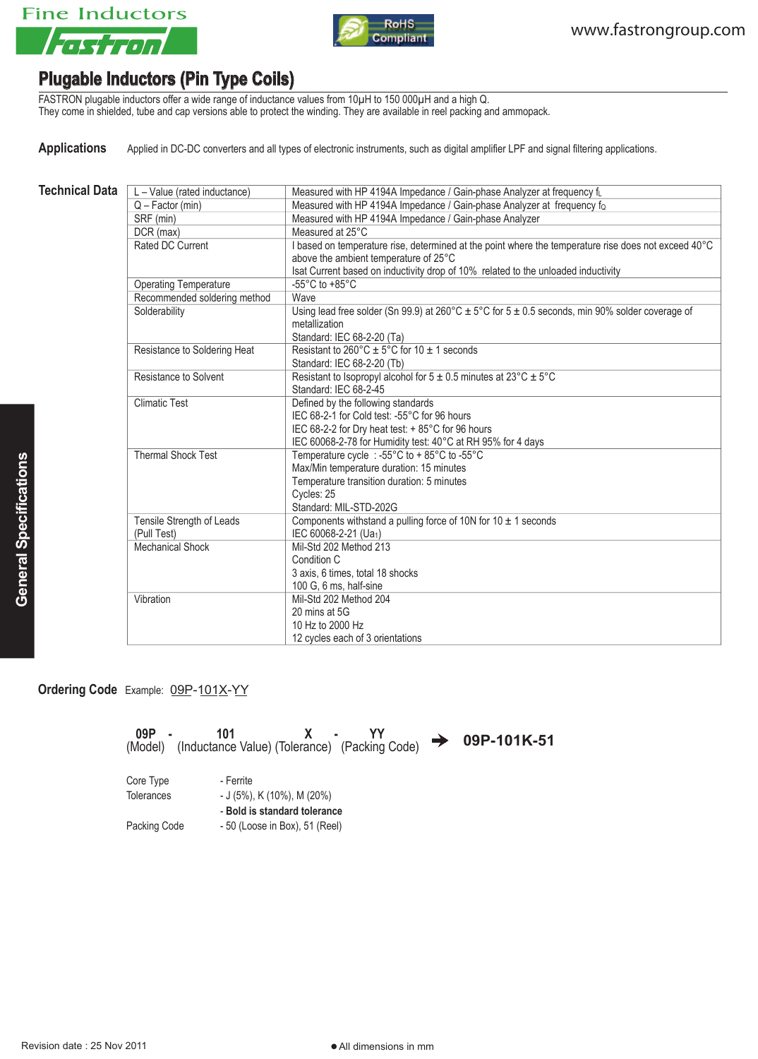



## **Plugable Inductors (Pin Type Coils)**

FASTRON plugable inductors offer a wide range of inductance values from 10µH to 150 000µH and a high Q. They come in shielded, tube and cap versions able to protect the winding. They are available in reel packing and ammopack.

Applications Applied in DC-DC converters and all types of electronic instruments, such as digital amplifier LPF and signal filtering applications.

| Technical Data | L – Value (rated inductance) | Measured with HP 4194A Impedance / Gain-phase Analyzer at frequency fu |
|----------------|------------------------------|------------------------------------------------------------------------|
|                | $Q - Factor$ (min)           | Measured with HP 4194A Impedance / Gain-phase Analyzer at frequency fo |
|                | SRF (min)                    | Measured with HP 4194A Impedance / Gain-phase Analyzer                 |
|                | DCR (max)                    | Measured at 25°C                                                       |

| $Q$ – Factor (min)           | Measured with HP 4194A Impedance / Gain-phase Analyzer at frequency fo                                  |  |
|------------------------------|---------------------------------------------------------------------------------------------------------|--|
| SRF (min)                    | Measured with HP 4194A Impedance / Gain-phase Analyzer                                                  |  |
| DCR (max)                    | Measured at 25°C                                                                                        |  |
| Rated DC Current             | I based on temperature rise, determined at the point where the temperature rise does not exceed 40°C    |  |
|                              | above the ambient temperature of 25°C                                                                   |  |
|                              | Isat Current based on inductivity drop of 10% related to the unloaded inductivity                       |  |
| <b>Operating Temperature</b> | -55 $^{\circ}$ C to +85 $^{\circ}$ C                                                                    |  |
| Recommended soldering method | Wave                                                                                                    |  |
| Solderability                | Using lead free solder (Sn 99.9) at 260°C $\pm$ 5°C for 5 $\pm$ 0.5 seconds, min 90% solder coverage of |  |
|                              | metallization                                                                                           |  |
|                              | Standard: IEC 68-2-20 (Ta)                                                                              |  |
| Resistance to Soldering Heat | Resistant to $260^{\circ}$ C $\pm$ 5°C for 10 $\pm$ 1 seconds                                           |  |
|                              | Standard: IEC 68-2-20 (Tb)                                                                              |  |
| Resistance to Solvent        | Resistant to Isopropyl alcohol for $5 \pm 0.5$ minutes at $23^{\circ}$ C $\pm 5^{\circ}$ C              |  |
|                              | Standard: IEC 68-2-45                                                                                   |  |
| <b>Climatic Test</b>         | Defined by the following standards                                                                      |  |
|                              | IEC 68-2-1 for Cold test: -55°C for 96 hours                                                            |  |
|                              | IEC 68-2-2 for Dry heat test: + 85°C for 96 hours                                                       |  |
|                              | IEC 60068-2-78 for Humidity test: 40°C at RH 95% for 4 days                                             |  |
| <b>Thermal Shock Test</b>    | Temperature cycle : -55°C to + 85°C to -55°C                                                            |  |
|                              | Max/Min temperature duration: 15 minutes                                                                |  |
|                              | Temperature transition duration: 5 minutes                                                              |  |
|                              | Cycles: 25                                                                                              |  |
|                              | Standard: MIL-STD-202G                                                                                  |  |
| Tensile Strength of Leads    | Components withstand a pulling force of 10N for 10 $\pm$ 1 seconds                                      |  |
| (Pull Test)                  | IEC 60068-2-21 (Ua1)                                                                                    |  |
| <b>Mechanical Shock</b>      | Mil-Std 202 Method 213                                                                                  |  |
|                              | Condition C                                                                                             |  |
|                              | 3 axis, 6 times, total 18 shocks                                                                        |  |
|                              | 100 G, 6 ms, half-sine                                                                                  |  |
| Vibration                    | Mil-Std 202 Method 204                                                                                  |  |
|                              | 20 mins at 5G                                                                                           |  |
|                              | 10 Hz to 2000 Hz                                                                                        |  |
|                              | 12 cycles each of 3 orientations                                                                        |  |

**Ordering Code** Example: 09P-101X-YY

| 09P               | 101<br>X.<br>(Model) (Inductance Value) (Tolerance) (Packing Code) | 09P-101K-51 |
|-------------------|--------------------------------------------------------------------|-------------|
| Core Type         | - Ferrite                                                          |             |
| <b>Tolerances</b> | $-$ J (5%), K (10%), M (20%)                                       |             |
|                   | - Bold is standard tolerance                                       |             |
| Packing Code      | - 50 (Loose in Box), 51 (Reel)                                     |             |